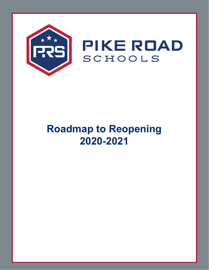

# **Roadmap to Reopening 2020-2021**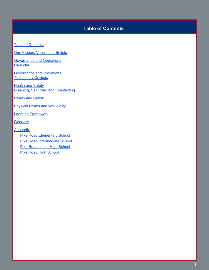# **Table of Contents**

<span id="page-1-0"></span>Table of [Contents](#page-1-0)

Our [Mission,](#page-4-0) Vision, and Beliefs

[Governance](#page-5-0) and Operations **[Calendar](#page-5-0)** 

[Governance](#page-6-0) and Operations **[Technology](#page-6-0) Devices** 

**[Health](#page-7-0) and Safety** Cleaning, Sanitizing and [Disinfecting](#page-7-0)

**[Health](#page-8-0) and Safety** 

Physical Health and [Well-Being](#page-8-0)

Learning [Framework](#page-10-0)

**[Glossary](#page-12-0)** 

**[Appendix](#page-12-1)** 

Pike Road [Elementary](#page-12-2) School Pike Road [Intermediate](#page-12-3) School Pike Road Junior High [School](#page-12-4) **Pike Road High [School](#page-12-5)**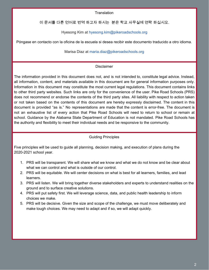**Translation** 

이 문서를 다른 언어로 번역 하고자 하시는 분은 학교 사무실에 연락 하십시오.

Hyesong Kim at hyesong.kim@pikeroadschools.org

Póngase en contacto con la oficina de la escuela si desea recibir este documento traducido a otro idioma.

Marisa Diaz at maria.diaz@pikeroadschools.org

## Disclaimer

The information provided in this document does not, and is not intended to, constitute legal advice. Instead, all information, content, and materials available in this document are for general information purposes only. Information in this document may constitute the most current legal regulations. This document contains links to other third party websites. Such links are only for the convenience of the user. Pike Road Schools (PRS) does not recommend or endorse the contents of the third party sites. All liability with respect to action taken or not taken based on the contents of this document are hereby expressly disclaimed. The content in this document is provided "as is." No representations are made that the content is error-free. The document is not an exhaustive list of every action that Pike Road Schools will need to return to school or remain at school. Guidance by the Alabama State Department of Education is not mandated. Pike Road Schools has the authority and flexibility to meet their individual needs and be responsive to the community.

# Guiding Principles

Five principles will be used to guide all planning, decision making, and execution of plans during the 2020-2021 school year.

- 1. PRS will be transparent. We will share what we know and what we do not know and be clear about what we can control and what is outside of our control.
- 2. PRS will be equitable. We will center decisions on what is best for all learners, families, and lead learners.
- 3. PRS will listen. We will bring together diverse stakeholders and experts to understand realities on the ground and to surface creative solutions.
- 4. PRS will put safety first. We will leverage science, data, and public health leadership to inform choices we make.
- 5. PRS will be decisive. Given the size and scope of the challenge, we must move deliberately and make tough choices. We may need to adapt and if so, we will adapt quickly.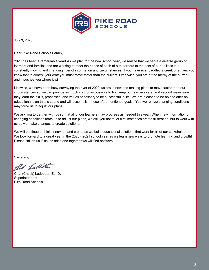

July 3, 2020

Dear Pike Road Schools Family,

2020 has been a remarkable year! As we plan for the new school year, we realize that we serve a diverse group of learners and families and are working to meet the needs of each of our learners to the best of our abilities in a constantly moving and changing river of information and circumstances. If you have ever paddled a creek or a river, you know that to control your craft you must move faster than the current. Otherwise, you are at the mercy of the current and it pushes you where it will.

Likewise, we have been busy surveying the river of 2020 we are in now and making plans to move faster than our circumstances so we can provide as much control as possible to first keep our learners safe, and second make sure they learn the skills, processes, and values necessary to be successful in life. We are pleased to be able to offer an educational plan that is sound and will accomplish these aforementioned goals. Yet, we realize changing conditions may force us to adjust our plans.

We ask you to partner with us so that all of our learners may progress as needed this year. When new information or changing conditions force us to adjust our plans, we ask you not to let circumstances create frustration, but to work with us as we make changes to create solutions.

We will continue to think, innovate, and create as we build educational solutions that work for all of our stakeholders. We look forward to a great year in the 2020 - 2021 school year as we learn new ways to promote learning and growth! Please call on us if issues arise and together we will find answers.

Sincerely,

as fallets

C. L. (Chuck) Ledbetter, Ed. D. Superintendent Pike Road Schools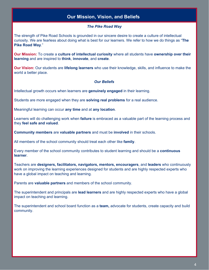# **Our Mission, Vision, and Beliefs**

#### *The Pike Road Way*

<span id="page-4-0"></span>The strength of Pike Road Schools is grounded in our sincere desire to create a culture of intellectual curiosity. We are fearless about doing what is best for our learners. We refer to how we do things as "**The Pike Road Way**."

**Our Mission:** To create a **culture of intellectual curiosity** where all students have **ownership over their learning** and are inspired to **think**, **innovate**, and **create**.

**Our Vision:** Our students are **lifelong learners** who use their knowledge, skills, and influence to make the world a better place.

#### *Our Beliefs*

Intellectual growth occurs when learners are **genuinely engaged** in their learning.

Students are more engaged when they are **solving real problems** for a real audience.

Meaningful learning can occur **any time** and at **any location**.

Learners will do challenging work when **failure** is embraced as a valuable part of the learning process and they **feel safe and valued**.

**Community members** are **valuable partners** and must be **involved** in their schools.

All members of the school community should treat each other like **family**.

Every member of the school community contributes to student learning and should be a **continuous learner**.

Teachers are **designers, facilitators, navigators, mentors, encouragers**, and **leaders** who continuously work on improving the learning experiences designed for students and are highly respected experts who have a global impact on teaching and learning.

Parents are **valuable partners** and members of the school community.

The superintendent and principals are **lead learners** and are highly respected experts who have a global impact on teaching and learning.

The superintendent and school board function as a **team,** advocate for students, create capacity and build community.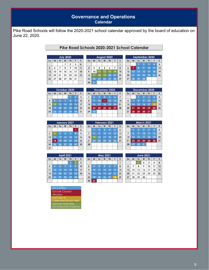# **Governance and Operations Calendar**

<span id="page-5-0"></span>Pike Road Schools will follow the 2020-2021 school calendar approved by the board of education on June 22, 2020.

|  |  | Pike Road Schools 2020-2021 School Calendar |  |
|--|--|---------------------------------------------|--|
|--|--|---------------------------------------------|--|

 $0.000$ 

| <b>July 2020</b> |    |                |    |                |    |    |  |  |
|------------------|----|----------------|----|----------------|----|----|--|--|
| Su               | M  | Tu             | W  | Th             | F  | S  |  |  |
|                  |    |                | 1  | $\overline{2}$ | 3  | 4  |  |  |
| 5                | 6  | $\overline{7}$ | 8  | 9              | 10 | 11 |  |  |
| 12               | 13 | 14             | 15 | 16             | 17 | 18 |  |  |
| 19               | 20 | 21             | 22 | 23             | 24 | 25 |  |  |
| 26               | 27 | 28             | 29 | 30             | 31 |    |  |  |

|                |    |    |    | AUGUST ZUZU |                |                |
|----------------|----|----|----|-------------|----------------|----------------|
| Su             | M  | Tu | W  | Th          | F              | S              |
|                |    |    |    |             |                | 1              |
| $\overline{2}$ | 3  | 4  | 5  | 6           | $\overline{7}$ | 8              |
| 9              | 10 | 11 | 12 | 13          | 14             | 15             |
| 16             | 17 | 18 | 19 | 20          | 21             | 22             |
| 23             | 24 | 25 | 26 | 27          | 28             | 2 <sub>5</sub> |
| 30             | 31 |    |    |             |                |                |

|                      | September 2020 |              |                |    |    |    |  |  |  |
|----------------------|----------------|--------------|----------------|----|----|----|--|--|--|
| Su                   | M              | Tu           | W              | Th | F  | S  |  |  |  |
|                      |                |              | $\overline{2}$ | 3  | 4  | 5  |  |  |  |
| $\ddot{\phantom{0}}$ | $\overline{7}$ | $\mathbf{a}$ | ø              | 10 | 11 | 12 |  |  |  |
| 13                   | 14             | 15           | 16             | 17 | 18 | 19 |  |  |  |
| 20                   | 21             | 22           | 23             | 24 | 25 | 26 |  |  |  |
| 27                   | 28             | 29           | 30             |    |    |    |  |  |  |
|                      |                |              |                |    |    |    |  |  |  |

|                |    | October 2020 |    |    |                |    |
|----------------|----|--------------|----|----|----------------|----|
| S <sub>U</sub> | M  | Tu           | W  | Th | F              | S  |
|                |    |              |    |    | $\overline{a}$ | 3  |
| 4              | 5  | ٨            |    | a  | 9              | 10 |
| 11             | 12 | 13           | 14 | 15 | 16             | 17 |
| 18             | 19 | 20           | 21 | 22 | 23             | 24 |
| 25             | 26 | 27           | 28 | 29 | 30             | 31 |

|                | <b>November 2020</b> |    |    |            |    |    |  |  |  |  |
|----------------|----------------------|----|----|------------|----|----|--|--|--|--|
| S <sub>U</sub> | M                    | Tυ | W  | Th         | F  | S  |  |  |  |  |
| 1              | $\overline{2}$       | 3  | л  | $\sqrt{2}$ | А  | 7  |  |  |  |  |
| 8              | 9                    | 10 | 11 | 12         | 13 | 14 |  |  |  |  |
| 15             | 16                   | 17 | 18 | 19         | 20 | 21 |  |  |  |  |
| 22             | 23                   | 24 | 25 | 26         | 27 | 28 |  |  |  |  |
| 29             | 30                   |    |    |            |    |    |  |  |  |  |
|                |                      |    |    |            |    |    |  |  |  |  |

| December 2020 |    |          |                |           |                 |    |  |  |  |
|---------------|----|----------|----------------|-----------|-----------------|----|--|--|--|
| Su            | M  | Tu       | W              | <b>Th</b> | F               | S  |  |  |  |
|               |    |          | $\overline{2}$ | 3         | 4               | 5  |  |  |  |
| 6             |    | <b>R</b> | 9              | 10        | $\overline{1}1$ | 12 |  |  |  |
| 13            | 14 | 15       | 16             | 17        | 18              | 19 |  |  |  |
| 20            | 21 | 22       | 23             | 24        | 25              | 26 |  |  |  |
| 27            | 28 | 29       | 30             | 31        |                 |    |  |  |  |
|               |    |          |                |           |                 |    |  |  |  |

|                |                | January 2021 |    |    |    |                |
|----------------|----------------|--------------|----|----|----|----------------|
| S <sub>U</sub> | M              | Tu           | W  | Th | F  | S              |
|                |                |              |    |    | 1  | $\overline{2}$ |
| 3              | $\overline{4}$ | $5^{\circ}$  | 6  | 7  | 8  | 9              |
| 10             | 11             | 12           | 13 | 14 | 15 | 16             |
| 17             | 18             | 19           | 20 | 21 | 22 | 23             |
| 24             | 25             | 26           | 27 | 28 | 29 | 30             |
| 31             |                |              |    |    |    |                |

| April 2021 |                 |    |    |    |                |    |  |  |  |
|------------|-----------------|----|----|----|----------------|----|--|--|--|
| $S_{U}$    | M               | Tu | W  | Th | F              | S  |  |  |  |
|            |                 |    |    | 1  | $\overline{2}$ | 3  |  |  |  |
| 4          | 5               | 6  | 7  | 8  | 9              | 10 |  |  |  |
| 11         | 12 <sup>2</sup> | 13 | 14 | 15 | 16             | 17 |  |  |  |
| 18         | 19              | 20 | 21 | 22 | 23             | 24 |  |  |  |
| 25         | 26              | 27 | 28 | 29 | 30             |    |  |  |  |

|                |    |                | <b>February 2021</b> |                |    |    |
|----------------|----|----------------|----------------------|----------------|----|----|
| $S_{U}$        | M  | Tu             | W                    | Th             | F  | S  |
|                |    | $\overline{2}$ | 3                    | $\overline{4}$ | 5  | 6  |
| $\overline{7}$ | 8  | 9.             | 10                   | 11             | 12 | 13 |
| 14             | 15 | 16             | 17                   | 18             | 19 | 20 |
| 21             | 22 | 23             | 24                   | 25             | 26 | 27 |
| 28             |    |                |                      |                |    |    |

|                |    |    | <b>May 2021</b> |    |    |    |
|----------------|----|----|-----------------|----|----|----|
| S <sub>U</sub> | M  | Tu | W               | Th | F  | S  |
|                |    |    |                 |    |    | 1  |
| $\overline{2}$ | 6  | 4  | 5               | 6  |    | 8  |
| 9              | 10 |    | $\overline{12}$ | 13 | 14 | 15 |
| 16             | 17 | 18 | 19              | 20 | 21 | 22 |
| 23             | 24 | 25 | 26              | 27 | 28 | 29 |
| 30             | 31 |    |                 |    |    |    |

|                | <b>March 2021</b> |                |    |           |    |                  |  |  |  |  |
|----------------|-------------------|----------------|----|-----------|----|------------------|--|--|--|--|
| Su             | M                 | Tu             | W  | <b>Th</b> | F  | S                |  |  |  |  |
|                |                   | $\overline{2}$ | 3  | 4         | 5  | $\boldsymbol{6}$ |  |  |  |  |
| $\overline{7}$ | 8                 | 9              | 10 | 11        | 12 | 13               |  |  |  |  |
| 14             | 15                | 16             | 17 | 18        | 19 | 20               |  |  |  |  |
| 21             | 22                | 23             | 24 | 25        | 26 | 27               |  |  |  |  |
| 28             | 29                | 30             | 31 |           |    |                  |  |  |  |  |
|                |                   |                |    |           |    |                  |  |  |  |  |

| <b>June 2021</b> |    |    |    |    |    |    |
|------------------|----|----|----|----|----|----|
| S <sub>U</sub>   | M  | Tu | W  | Th | F  | S  |
|                  |    |    | 2  | 3  | 4  | 5  |
| $\boldsymbol{6}$ | 7  | 8  | 9  | 10 | 11 | 12 |
| 13               | 14 | 15 | 16 | 17 | 18 | 19 |
| 20               | 21 | 22 | 23 | 24 | 25 | 26 |
| 27               | 28 | 29 | 30 |    |    |    |
|                  |    |    |    |    |    |    |

| <b>School Day</b>        |
|--------------------------|
| <b>Schools Closed/</b>   |
| Holidays                 |
| Last Day of              |
| Calendar/School Year     |
| <b>Teacher Work Day</b>  |
| (No School for Students) |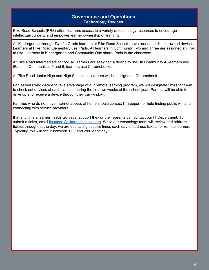# **Governance and Operations Technology Devices**

<span id="page-6-0"></span>Pike Road Schools (PRS) offers learners access to a variety of technology resources to encourage intellectual curiosity and empower learner ownership of learning.

All Kindergarten through Twelfth Grade learners at Pike Road Schools have access to district-owned devices. Learners at Pike Road Elementary use iPads. All learners in Community Two and Three are assigned an iPad to use. Learners in Kindergarten and Community One share iPads in the classroom.

At Pike Road Intermediate school, all learners are assigned a device to use. In Community 4, learners use iPads. In Communities 5 and 6, learners use Chromebooks.

At Pike Road Junior High and High School, all learners will be assigned a Chromebook.

For learners who decide to take advantage of our remote learning program, we will designate times for them to check out devices at each campus during the first two weeks of the school year. Parents will be able to drive up and receive a device through their car window.

Families who do not have Internet access at home should contact IT Support for help finding public wifi and connecting with service providers.

If at any time a learner needs technical support they or their parents can contact our IT Department. To submit a ticket, email [itsupport@pikeroadschools.org.](mailto:itsupport@pikeroadschools.org) While our technology team will review and address tickets throughout the day, we are dedicating specific times each day to address tickets for remote learners. Typically, this will occur between 1:00 and 2:00 each day.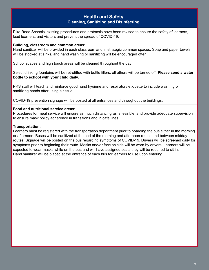# **Health and Safety Cleaning, Sanitizing and Disinfecting**

<span id="page-7-0"></span>Pike Road Schools' existing procedures and protocols have been revised to ensure the safety of learners, lead learners, and visitors and prevent the spread of COVID-19.

#### **Building, classroom and common areas:**

Hand sanitizer will be provided in each classroom and in strategic common spaces. Soap and paper towels will be stocked at sinks, and hand washing or sanitizing will be encouraged often.

School spaces and high touch areas will be cleaned throughout the day.

Select drinking fountains will be retrofitted with bottle fillers, all others will be turned off. **Please send a water bottle to school with your child daily**.

PRS staff will teach and reinforce good hand hygiene and respiratory etiquette to include washing or sanitizing hands after using a tissue.

COVID-19 prevention signage will be posted at all entrances and throughout the buildings.

#### **Food and nutritional service areas:**

Procedures for meal service will ensure as much distancing as is feasible, and provide adequate supervision to ensure mask policy adherence in transitions and in café lines.

#### **Transportation:**

Learners must be registered with the transportation department prior to boarding the bus either in the morning or afternoon. Buses will be sanitized at the end of the morning and afternoon routes and between midday routes. Signage will be posted on the bus regarding symptoms of COVID-19. Drivers will be screened daily for symptoms prior to beginning their route. Masks and/or face shields will be worn by drivers. Learners will be expected to wear masks while on the bus and will have assigned seats they will be required to sit in. Hand sanitizer will be placed at the entrance of each bus for learners to use upon entering.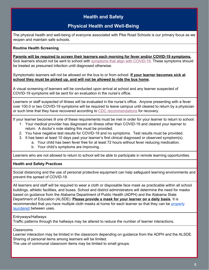# **Health and Safety**

# **Physical Health and Well-Being**

<span id="page-8-0"></span>The physical health and well-being of everyone associated with Pike Road Schools is our primary focus as we reopen and maintain safe schools.

## **Routine Health Screening**

**Parents will be required to screen their learners each morning for fever and/or COVID-19 symptoms.** Sick learners should not be sent to school wit[h](https://www.cdc.gov/coronavirus/2019-ncov/symptoms-testing/symptoms.html) [symptoms](https://www.cdc.gov/coronavirus/2019-ncov/symptoms-testing/symptoms.html) that align with COVID-19. These symptoms should be treated as presumed infection until diagnosed otherwise.

Symptomatic learners will not be allowed on the bus to or from school. **If your learner becomes sick at school they must be picked up, and will not be allowed to ride the bus home.**

A visual screening of learners will be conducted upon arrival at school and any learner suspected of COVID-19 symptoms will be sent for an evaluation in the nurse's office.

Learners or staff suspected of illness will be evaluated in the nurse's office. Anyone presenting with a fever over 100.0 or two COVID-19 symptoms will be required to leave campus until cleared to return by a physician or such time that they have recovered according t[o](https://www.cdc.gov/coronavirus/2019-ncov/if-you-are-sick/end-home-isolation.html) CDC [recommendations](https://www.cdc.gov/coronavirus/2019-ncov/if-you-are-sick/end-home-isolation.html) for recovery.

If your learner becomes ill one of these requirements must be met in order for your learner to return to school:

- 1. Your medical provider has diagnosed an illness other than COVID-19 and cleared your learner to return. A doctor's note stating this must be provided.
- 2. You have negative test results for COVID-19 and no symptoms. Test results must be provided.
- 3. It has been at least 10 days past your learner's first clinical diagnosed or observed symptom(s).
	- a. Your child has been fever free for at least 72 hours without fever reducing medication.
		- b. Your child's symptoms are improving.

Learners who are not allowed to return to school will be able to participate in remote learning opportunities.

## **Health and Safety Practices**

Social distancing and the use of personal protective equipment can help safeguard learning environments and prevent the spread of COVID-19.

All learners and staff will be required to wear a cloth or disposable face mask as practicable within all school buildings, athletic facilities, and buses. School and district administrators will determine the need for masks based on guidance from the Alabama Department of Public Health (ADPH) and the Alabama State Department of Education (ALSDE). **Please provide a mask for your learner on a daily basis**. It is recommended that you have multiple cloth masks at home for each learner so that they can be [properly](https://www.cdc.gov/coronavirus/2019-ncov/prevent-getting-sick/how-to-wash-cloth-face-coverings.html) [laundered](https://www.cdc.gov/coronavirus/2019-ncov/prevent-getting-sick/how-to-wash-cloth-face-coverings.html) between uses.

#### Entryways/Hallways

Traffic patterns through the hallways may be altered to reduce the number of learner interactions.

#### Classrooms

Learner interaction may be limited in the classroom depending on guidance from the ADPH and the ALSDE. Sharing of personal items among learners will be limited.

The use of communal classroom items may be limited to small groups.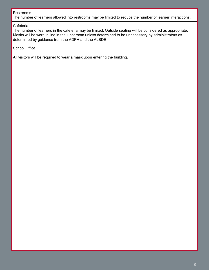#### Restrooms

The number of learners allowed into restrooms may be limited to reduce the number of learner interactions.

#### **Cafeteria**

The number of learners in the cafeteria may be limited. Outside seating will be considered as appropriate. Masks will be worn in line in the lunchroom unless determined to be unnecessary by administrators as determined by guidance from the ADPH and the ALSDE

#### School Office

All visitors will be required to wear a mask upon entering the building.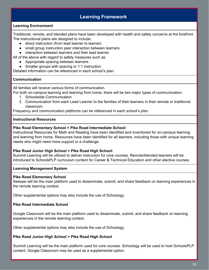# **Learning Framework**

#### <span id="page-10-0"></span>**Learning Environment**

Traditional, remote, and blended plans have been developed with health and safety concerns at the forefront. The instructional plans are designed to include:

- direct instruction (from lead learner to learner)
- small group instruction peer interaction between learners
- interaction between learners and their lead learner

All of the above with regard to safety measures such as:

- Appropriate spacing between learners
- Smaller groups with spacing or 1:1 instruction

Detailed information can be referenced in each school's plan.

#### **Communication**

All families will receive various forms of communication.

For both on-campus learning and learning from home, there will be two major types of communication:

- 1. Schoolwide Communication
- 2. Communication from each Lead Learner to the families of their learners in their remote or traditional classroom.

Frequency and communication platforms can be referenced in each school's plan.

#### **Instructional Resources**

#### **Pike Road Elementary School + Pike Road Intermediate School:**

Instructional Resources for Math and Reading have been identified and inventoried for on-campus learning and learning from home. Resources have been identified for all learners, including those with unique learning needs who might need more support or a challenge.

#### **Pike Road Junior High School + Pike Road High School:**

Summit Learning will be utilized to deliver instruction for core courses. Remote/blended learners will be introduced to SchoolsPLP curriculum content for Career & Technical Education and other elective courses.

#### **Learning Management System**

#### **Pike Road Elementary School**

Seesaw will be the main platform used to disseminate, submit, and share feedback on learning experiences in the remote learning context.

Other supplemental options may also include the use of Schoology.

## **Pike Road Intermediate School**

Google Classroom will be the main platform used to disseminate, submit, and share feedback on learning experiences in the remote learning context.

Other supplemental options may also include the use of Schoology.

#### **Pike Road Junior High School + Pike Road High School**

Summit Learning will be the main platform used for core courses. Schoology will be used to host SchoolsPLP content. Google Classroom may be used as a supplemental option.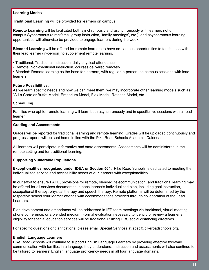#### **Learning Modes**

**Traditional Learning** will be provided for learners on campus.

**Remote Learning** will be facilitated both synchronously and asynchronously with learners not on campus.Synchronous (direct/small group instruction, 'family meetings', etc.) and asynchronous learning opportunities will otherwise be provided to engage learners during the week.

**Blended Learning** will be offered for remote learners to have on-campus opportunities to touch base with their lead learner (in-person) to supplement remote learning.

- Traditional: Traditional instruction, daily physical attendance
- Remote: Non-traditional instruction, courses delivered remotely

• Blended: Remote learning as the base for learners, with regular in-person, on campus sessions with lead learners

#### **Future Possibilities:**

As we learn specific needs and how we can meet them, we may incorporate other learning models such as: "A La Carte or Buffet Model, Emporium Model, Flex Model, Rotation Model, etc.

## **Scheduling**

Families who opt for remote learning will learn both asynchronously and in specific live sessions with a lead learner.

## **Grading and Assessments**

Grades will be reported for traditional learning and remote learning. Grades will be uploaded continuously and progress reports will be sent home in line with the Pike Road Schools Academic Calendar.

All learners will participate in formative and state assessments. Assessments will be administered in the remote setting and for traditional learning.

## **Supporting Vulnerable Populations**

**Exceptionalities recognized under IDEA or Section 504:** Pike Road Schools is dedicated to meeting the individualized service and accessibility needs of our learners with exceptionalities.

In our effort to ensure FAPE, provisions for remote, blended, telecommunication, and traditional learning may be offered for all services documented in each learner's individualized plan, including goal instruction, occupational therapy, physical therapy and speech therapy. Remote platforms will be determined by the respective school your learner attends with accommodations provided through collaboration of the Lead Learners.

Plan development and amendment will be addressed in IEP team meetings via traditional, virtual meeting, phone conference, or a blended medium. Formal evaluation necessary to identify or review a learner's eligibility for special education services will be traditional utilizing PRS social distancing directives.

For specific questions or clarifications, please email Special Services at sped@pikeroadschools.org.

## **English Language Learners**

Pike Road Schools will continue to support English Language Learners by providing effective two-way communication with families in a language they understand. Instruction and assessments will also continue to be tailored to learners' English language proficiency needs in all four language domains.